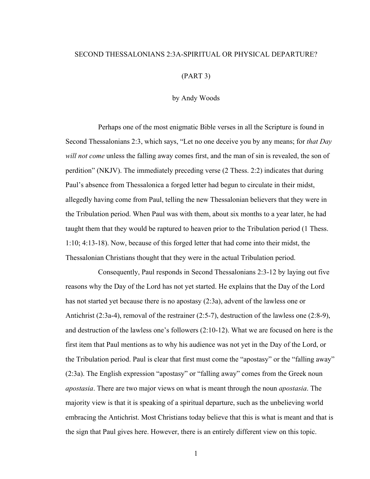## SECOND THESSALONIANS 2:3A-SPIRITUAL OR PHYSICAL DEPARTURE?

## (PART 3)

by Andy Woods

Perhaps one of the most enigmatic Bible verses in all the Scripture is found in Second Thessalonians 2:3, which says, "Let no one deceive you by any means; for *that Day will not come* unless the falling away comes first, and the man of sin is revealed, the son of perdition" (NKJV). The immediately preceding verse (2 Thess. 2:2) indicates that during Paul's absence from Thessalonica a forged letter had begun to circulate in their midst, allegedly having come from Paul, telling the new Thessalonian believers that they were in the Tribulation period. When Paul was with them, about six months to a year later, he had taught them that they would be raptured to heaven prior to the Tribulation period (1 Thess. 1:10; 4:13-18). Now, because of this forged letter that had come into their midst, the Thessalonian Christians thought that they were in the actual Tribulation period.

Consequently, Paul responds in Second Thessalonians 2:3-12 by laying out five reasons why the Day of the Lord has not yet started. He explains that the Day of the Lord has not started yet because there is no apostasy (2:3a), advent of the lawless one or Antichrist (2:3a-4), removal of the restrainer (2:5-7), destruction of the lawless one (2:8-9), and destruction of the lawless one's followers (2:10-12). What we are focused on here is the first item that Paul mentions as to why his audience was not yet in the Day of the Lord, or the Tribulation period. Paul is clear that first must come the "apostasy" or the "falling away" (2:3a). The English expression "apostasy" or "falling away" comes from the Greek noun *apostasia*. There are two major views on what is meant through the noun *apostasia*. The majority view is that it is speaking of a spiritual departure, such as the unbelieving world embracing the Antichrist. Most Christians today believe that this is what is meant and that is the sign that Paul gives here. However, there is an entirely different view on this topic.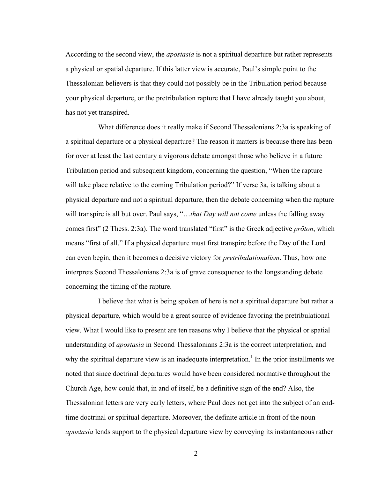According to the second view, the *apostasia* is not a spiritual departure but rather represents a physical or spatial departure. If this latter view is accurate, Paul's simple point to the Thessalonian believers is that they could not possibly be in the Tribulation period because your physical departure, or the pretribulation rapture that I have already taught you about, has not yet transpired.

What difference does it really make if Second Thessalonians 2:3a is speaking of a spiritual departure or a physical departure? The reason it matters is because there has been for over at least the last century a vigorous debate amongst those who believe in a future Tribulation period and subsequent kingdom, concerning the question, "When the rapture will take place relative to the coming Tribulation period?" If verse 3a, is talking about a physical departure and not a spiritual departure, then the debate concerning when the rapture will transpire is all but over. Paul says, "...*that Day will not come* unless the falling away comes first" (2 Thess. 2:3a). The word translated "first" is the Greek adjective *prōton*, which means "first of all." If a physical departure must first transpire before the Day of the Lord can even begin, then it becomes a decisive victory for *pretribulationalism*. Thus, how one interprets Second Thessalonians 2:3a is of grave consequence to the longstanding debate concerning the timing of the rapture.

I believe that what is being spoken of here is not a spiritual departure but rather a physical departure, which would be a great source of evidence favoring the pretribulational view. What I would like to present are ten reasons why I believe that the physical or spatial understanding of *apostasia* in Second Thessalonians 2:3a is the correct interpretation, and why the spiritual departure view is an inadequate interpretation.<sup>1</sup> In the prior installments we noted that since doctrinal departures would have been considered normative throughout the Church Age, how could that, in and of itself, be a definitive sign of the end? Also, the Thessalonian letters are very early letters, where Paul does not get into the subject of an endtime doctrinal or spiritual departure. Moreover, the definite article in front of the noun *apostasia* lends support to the physical departure view by conveying its instantaneous rather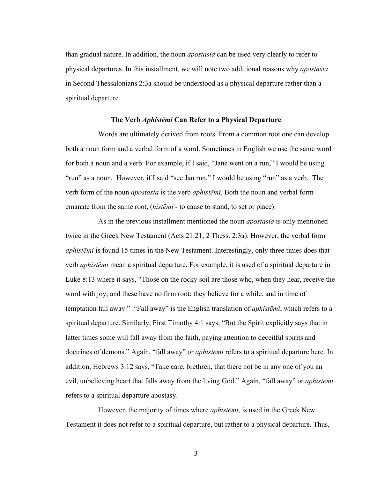than gradual nature. In addition, the noun *apostasia* can be used very clearly to refer to physical departures. In this installment, we will note two additional reasons why *apostasia* in Second Thessalonians 2:3a should be understood as a physical departure rather than a spiritual departure.

## **The Verb** *Aphistēmi* **Can Refer to a Physical Departure**

Words are ultimately derived from roots. From a common root one can develop both a noun form and a verbal form of a word. Sometimes in English we use the same word for both a noun and a verb. For example, if I said, "Jane went on a run," I would be using "run" as a noun. However, if I said "see Jan run," I would be using "run" as a verb. The verb form of the noun *apostasia* is the verb *aphistēmi*. Both the noun and verbal form emanate from the same root, (*hístēmi -* to cause to stand, to set or place).

As in the previous installment mentioned the noun *apostasia* is only mentioned twice in the Greek New Testament (Acts 21:21; 2 Thess. 2:3a). However, the verbal form *aphistēmi* is found 15 times in the New Testament. Interestingly, only three times does that verb *aphistēmi* mean a spiritual departure. For example, it is used of a spiritual departure in Luke 8:13 where it says, "Those on the rocky soil are those who, when they hear, receive the word with joy; and these have no firm root; they believe for a while, and in time of temptation fall away." "Fall away" is the English translation of *aphistēmi*, which refers to a spiritual departure. Similarly, First Timothy 4:1 says, "But the Spirit explicitly says that in latter times some will fall away from the faith, paying attention to deceitful spirits and doctrines of demons." Again, "fall away" or *aphistēmi* refers to a spiritual departure here. In addition, Hebrews 3:12 says, "Take care, brethren, that there not be in any one of you an evil, unbelieving heart that falls away from the living God." Again, "fall away" or *aphistēmi* refers to a spiritual departure apostasy.

However, the majority of times where *aphistēmi*, is used in the Greek New Testament it does not refer to a spiritual departure, but rather to a physical departure. Thus,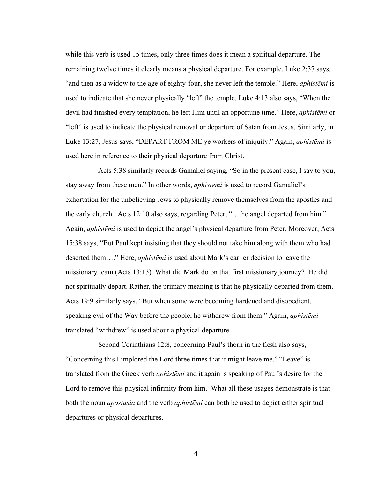while this verb is used 15 times, only three times does it mean a spiritual departure. The remaining twelve times it clearly means a physical departure. For example, Luke 2:37 says, "and then as a widow to the age of eighty-four, she never left the temple." Here, *aphistēmi* is used to indicate that she never physically "left" the temple. Luke 4:13 also says, "When the devil had finished every temptation, he left Him until an opportune time." Here, *aphistēmi* or "left" is used to indicate the physical removal or departure of Satan from Jesus. Similarly, in Luke 13:27, Jesus says, "DEPART FROM ME ye workers of iniquity." Again, *aphistēmi* is used here in reference to their physical departure from Christ.

Acts 5:38 similarly records Gamaliel saying, "So in the present case, I say to you, stay away from these men." In other words, *aphistēmi* is used to record Gamaliel's exhortation for the unbelieving Jews to physically remove themselves from the apostles and the early church. Acts 12:10 also says, regarding Peter, "…the angel departed from him." Again, *aphistēmi* is used to depict the angel's physical departure from Peter. Moreover, Acts 15:38 says, "But Paul kept insisting that they should not take him along with them who had deserted them…." Here, *aphistēmi* is used about Mark's earlier decision to leave the missionary team (Acts 13:13). What did Mark do on that first missionary journey? He did not spiritually depart. Rather, the primary meaning is that he physically departed from them. Acts 19:9 similarly says, "But when some were becoming hardened and disobedient, speaking evil of the Way before the people, he withdrew from them." Again, *aphistēmi* translated "withdrew" is used about a physical departure.

Second Corinthians 12:8, concerning Paul's thorn in the flesh also says, "Concerning this I implored the Lord three times that it might leave me." "Leave" is translated from the Greek verb *aphistēmi* and it again is speaking of Paul's desire for the Lord to remove this physical infirmity from him. What all these usages demonstrate is that both the noun *apostasia* and the verb *aphistēmi* can both be used to depict either spiritual departures or physical departures.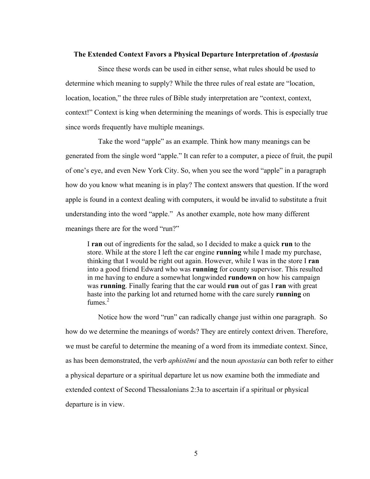## **The Extended Context Favors a Physical Departure Interpretation of** *Apostasia*

Since these words can be used in either sense, what rules should be used to determine which meaning to supply? While the three rules of real estate are "location, location, location," the three rules of Bible study interpretation are "context, context, context!" Context is king when determining the meanings of words. This is especially true since words frequently have multiple meanings.

Take the word "apple" as an example. Think how many meanings can be generated from the single word "apple." It can refer to a computer, a piece of fruit, the pupil of one's eye, and even New York City. So, when you see the word "apple" in a paragraph how do you know what meaning is in play? The context answers that question. If the word apple is found in a context dealing with computers, it would be invalid to substitute a fruit understanding into the word "apple." As another example, note how many different meanings there are for the word "run?"

I **ran** out of ingredients for the salad, so I decided to make a quick **run** to the store. While at the store I left the car engine **running** while I made my purchase, thinking that I would be right out again. However, while I was in the store I **ran** into a good friend Edward who was **running** for county supervisor. This resulted in me having to endure a somewhat longwinded **rundown** on how his campaign was **running**. Finally fearing that the car would **run** out of gas I **ran** with great haste into the parking lot and returned home with the care surely **running** on fumes $^2$ 

Notice how the word "run" can radically change just within one paragraph. So how do we determine the meanings of words? They are entirely context driven. Therefore, we must be careful to determine the meaning of a word from its immediate context. Since, as has been demonstrated, the verb *aphistēmi* and the noun *apostasia* can both refer to either a physical departure or a spiritual departure let us now examine both the immediate and extended context of Second Thessalonians 2:3a to ascertain if a spiritual or physical departure is in view.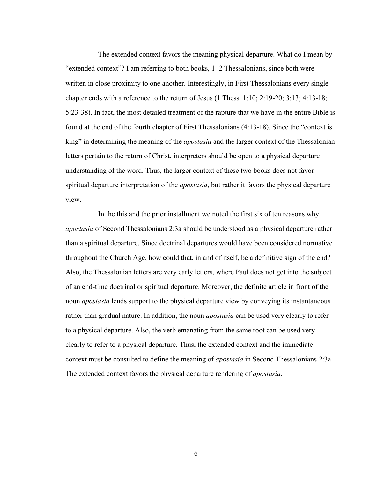The extended context favors the meaning physical departure. What do I mean by "extended context"? I am referring to both books, 1‒2 Thessalonians, since both were written in close proximity to one another. Interestingly, in First Thessalonians every single chapter ends with a reference to the return of Jesus (1 Thess. 1:10; 2:19-20; 3:13; 4:13-18; 5:23-38). In fact, the most detailed treatment of the rapture that we have in the entire Bible is found at the end of the fourth chapter of First Thessalonians (4:13-18). Since the "context is king" in determining the meaning of the *apostasia* and the larger context of the Thessalonian letters pertain to the return of Christ, interpreters should be open to a physical departure understanding of the word. Thus, the larger context of these two books does not favor spiritual departure interpretation of the *apostasia*, but rather it favors the physical departure view.

In the this and the prior installment we noted the first six of ten reasons why *apostasia* of Second Thessalonians 2:3a should be understood as a physical departure rather than a spiritual departure. Since doctrinal departures would have been considered normative throughout the Church Age, how could that, in and of itself, be a definitive sign of the end? Also, the Thessalonian letters are very early letters, where Paul does not get into the subject of an end-time doctrinal or spiritual departure. Moreover, the definite article in front of the noun *apostasia* lends support to the physical departure view by conveying its instantaneous rather than gradual nature. In addition, the noun *apostasia* can be used very clearly to refer to a physical departure. Also, the verb emanating from the same root can be used very clearly to refer to a physical departure. Thus, the extended context and the immediate context must be consulted to define the meaning of *apostasia* in Second Thessalonians 2:3a. The extended context favors the physical departure rendering of *apostasia*.